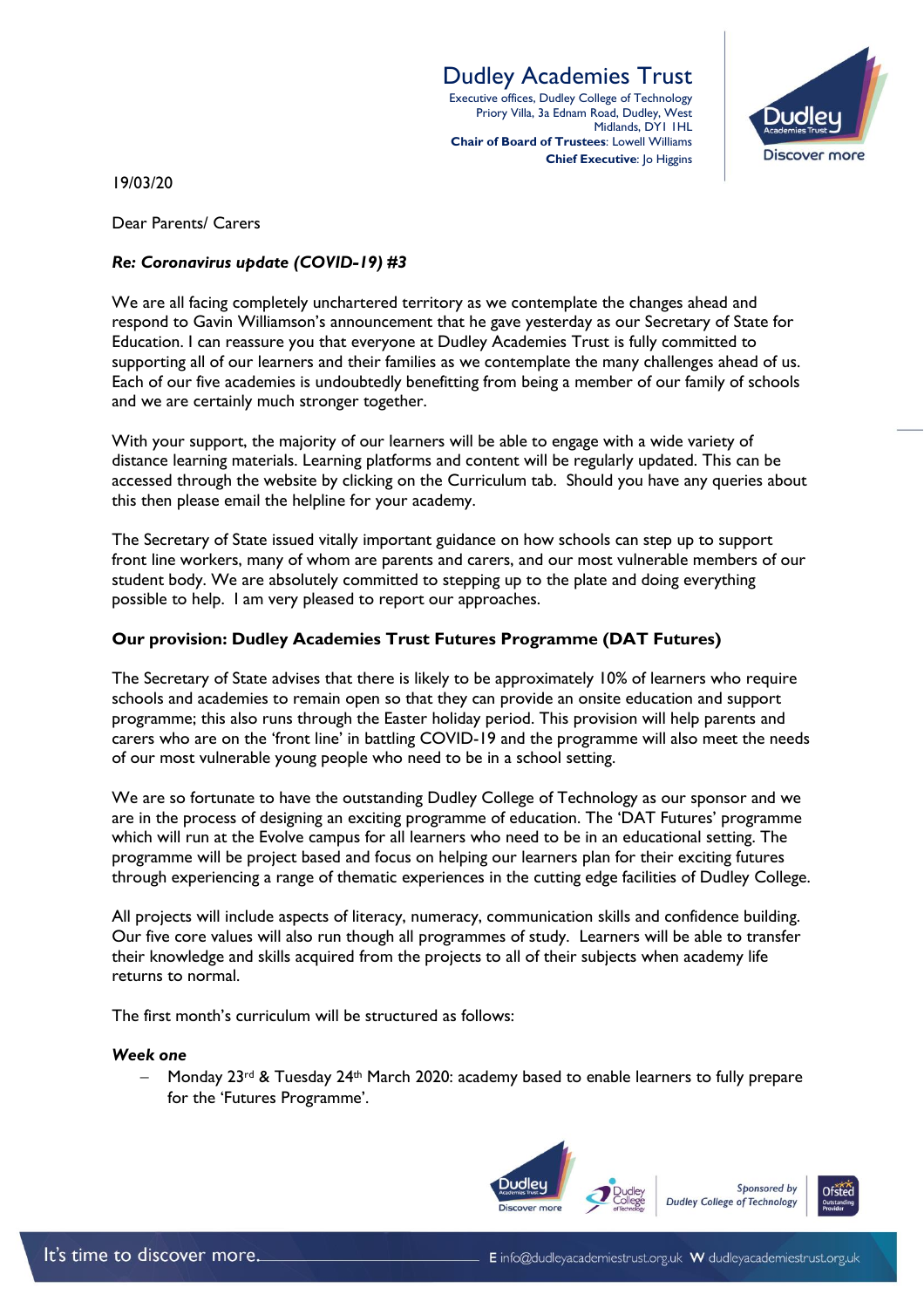## Dudley Academies Trust

Executive offices, Dudley College of Technology Priory Villa, 3a Ednam Road, Dudley, West Midlands, DY1 1HL **Chair of Board of Trustees**: Lowell Williams **Chief Executive: Jo Higgins** 



19/03/20

Dear Parents/ Carers

## *Re: Coronavirus update (COVID-19) #3*

We are all facing completely unchartered territory as we contemplate the changes ahead and respond to Gavin Williamson's announcement that he gave yesterday as our Secretary of State for Education. I can reassure you that everyone at Dudley Academies Trust is fully committed to supporting all of our learners and their families as we contemplate the many challenges ahead of us. Each of our five academies is undoubtedly benefitting from being a member of our family of schools and we are certainly much stronger together.

With your support, the majority of our learners will be able to engage with a wide variety of distance learning materials. Learning platforms and content will be regularly updated. This can be accessed through the website by clicking on the Curriculum tab. Should you have any queries about this then please email the helpline for your academy.

The Secretary of State issued vitally important guidance on how schools can step up to support front line workers, many of whom are parents and carers, and our most vulnerable members of our student body. We are absolutely committed to stepping up to the plate and doing everything possible to help. I am very pleased to report our approaches.

### **Our provision: Dudley Academies Trust Futures Programme (DAT Futures)**

The Secretary of State advises that there is likely to be approximately 10% of learners who require schools and academies to remain open so that they can provide an onsite education and support programme; this also runs through the Easter holiday period. This provision will help parents and carers who are on the 'front line' in battling COVID-19 and the programme will also meet the needs of our most vulnerable young people who need to be in a school setting.

We are so fortunate to have the outstanding Dudley College of Technology as our sponsor and we are in the process of designing an exciting programme of education. The 'DAT Futures' programme which will run at the Evolve campus for all learners who need to be in an educational setting. The programme will be project based and focus on helping our learners plan for their exciting futures through experiencing a range of thematic experiences in the cutting edge facilities of Dudley College.

All projects will include aspects of literacy, numeracy, communication skills and confidence building. Our five core values will also run though all programmes of study. Learners will be able to transfer their knowledge and skills acquired from the projects to all of their subjects when academy life returns to normal.

The first month's curriculum will be structured as follows:

#### *Week one*

Monday 23<sup>rd</sup> & Tuesday 24<sup>th</sup> March 2020: academy based to enable learners to fully prepare for the 'Futures Programme'.

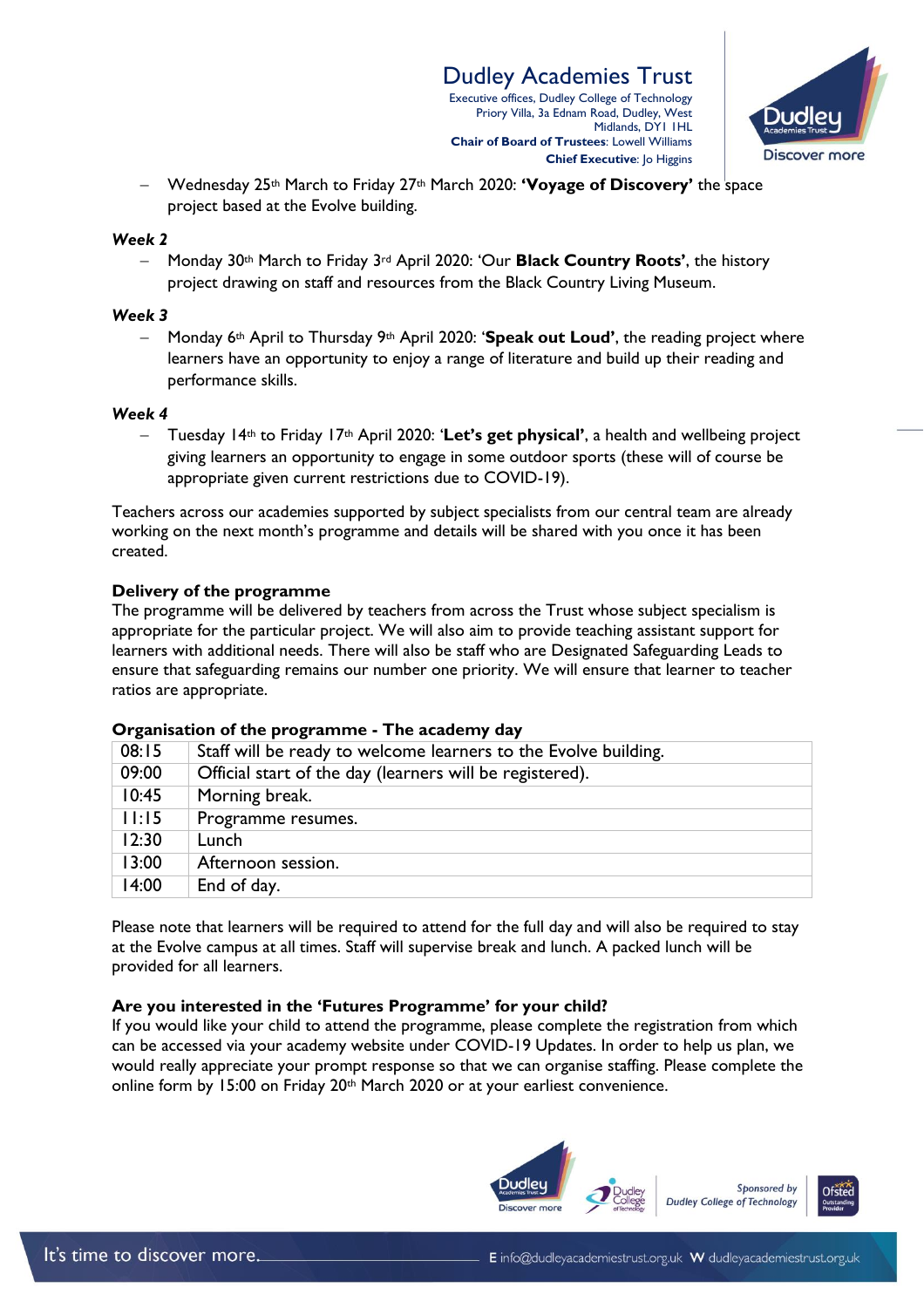

 Wednesday 25th March to Friday 27th March 2020: **'Voyage of Discovery'** the space project based at the Evolve building.

#### *Week 2*

 Monday 30th March to Friday 3rd April 2020: 'Our **Black Country Roots'**, the history project drawing on staff and resources from the Black Country Living Museum.

#### *Week 3*

 Monday 6th April to Thursday 9th April 2020: '**Speak out Loud'**, the reading project where learners have an opportunity to enjoy a range of literature and build up their reading and performance skills.

### *Week 4*

 Tuesday 14th to Friday 17th April 2020: '**Let's get physical'**, a health and wellbeing project giving learners an opportunity to engage in some outdoor sports (these will of course be appropriate given current restrictions due to COVID-19).

Teachers across our academies supported by subject specialists from our central team are already working on the next month's programme and details will be shared with you once it has been created.

## **Delivery of the programme**

The programme will be delivered by teachers from across the Trust whose subject specialism is appropriate for the particular project. We will also aim to provide teaching assistant support for learners with additional needs. There will also be staff who are Designated Safeguarding Leads to ensure that safeguarding remains our number one priority. We will ensure that learner to teacher ratios are appropriate.

| Organisation of the programme - The academy day |  |
|-------------------------------------------------|--|
|-------------------------------------------------|--|

| 08:15 | Staff will be ready to welcome learners to the Evolve building. |
|-------|-----------------------------------------------------------------|
| 09:00 | Official start of the day (learners will be registered).        |
| 10:45 | Morning break.                                                  |
| 11:15 | Programme resumes.                                              |
| 12:30 | Lunch                                                           |
| 13:00 | Afternoon session.                                              |
| 14:00 | End of day.                                                     |

Please note that learners will be required to attend for the full day and will also be required to stay at the Evolve campus at all times. Staff will supervise break and lunch. A packed lunch will be provided for all learners.

## **Are you interested in the 'Futures Programme' for your child?**

If you would like your child to attend the programme, please complete the registration from which can be accessed via your academy website under COVID-19 Updates. In order to help us plan, we would really appreciate your prompt response so that we can organise staffing. Please complete the online form by 15:00 on Friday 20<sup>th</sup> March 2020 or at your earliest convenience.